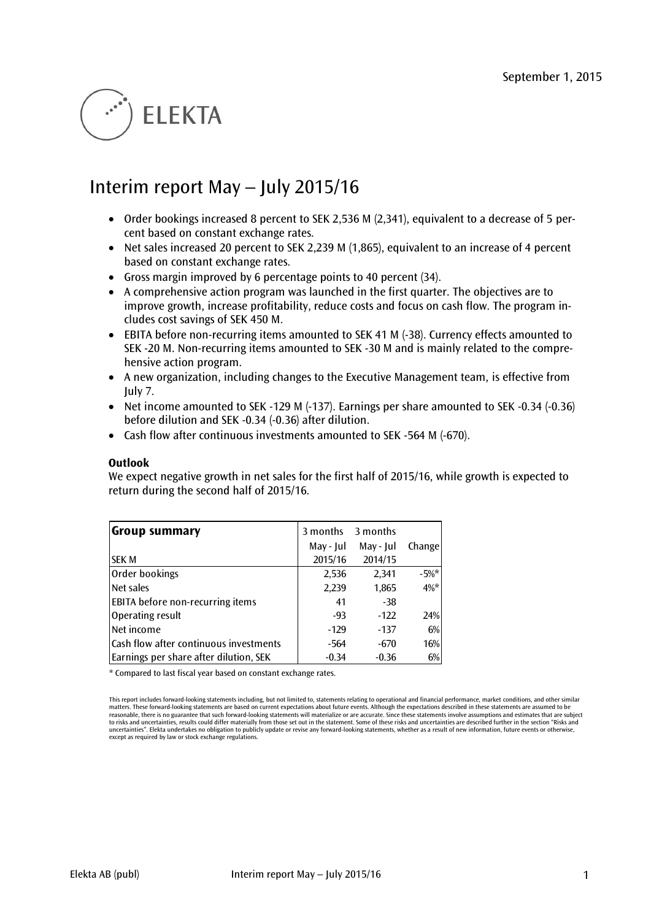# **ELEKTA**

# Interim report May – July 2015/16

- Order bookings increased 8 percent to SEK 2,536 M (2,341), equivalent to a decrease of 5 percent based on constant exchange rates.
- Net sales increased 20 percent to SEK 2,239 M (1,865), equivalent to an increase of 4 percent based on constant exchange rates.
- Gross margin improved by 6 percentage points to 40 percent (34).
- A comprehensive action program was launched in the first quarter. The objectives are to improve growth, increase profitability, reduce costs and focus on cash flow. The program includes cost savings of SEK 450 M.
- EBITA before non-recurring items amounted to SEK 41 M (-38). Currency effects amounted to SEK -20 M. Non-recurring items amounted to SEK -30 M and is mainly related to the comprehensive action program.
- A new organization, including changes to the Executive Management team, is effective from July 7.
- Net income amounted to SEK -129 M (-137). Earnings per share amounted to SEK -0.34 (-0.36) before dilution and SEK -0.34 (-0.36) after dilution.
- Cash flow after continuous investments amounted to SEK -564 M (-670).

#### **Outlook**

We expect negative growth in net sales for the first half of 2015/16, while growth is expected to return during the second half of 2015/16.

| <b>Group summary</b>                    | 3 months  | 3 months  |         |
|-----------------------------------------|-----------|-----------|---------|
|                                         | May - Jul | May - Jul | Change  |
| <b>ISEK M</b>                           | 2015/16   | 2014/15   |         |
| Order bookings                          | 2,536     | 2,341     | $-5%$ * |
| Net sales                               | 2,239     | 1,865     | $4\%$ * |
| <b>EBITA</b> before non-recurring items | 41        | $-38$     |         |
| Operating result                        | $-93$     | $-122$    | 24%     |
| Net income                              | $-129$    | $-137$    | 6%      |
| Cash flow after continuous investments  | -564      | $-670$    | 16%     |
| Earnings per share after dilution, SEK  | $-0.34$   | $-0.36$   | 6%      |

\* Compared to last fiscal year based on constant exchange rates.

This report includes forward-looking statements including, but not limited to, statements relating to operational and financial performance, market conditions, and other similar matters. These forward-looking statements are based on current expectations about future events. Although the expectations described in these statements are assumed to be<br>reasonable, there is no guarantee that such forward to risks and uncertainties, results could differ materially from those set out in the statement. Some of these risks and uncertainties are described further in the section "Risks and uncertainties". Elekta undertakes no obligation to publicly update or revise any forward-looking statements, whether as a result of new information, future events or otherwise, except as required by law or stock exchange regulations.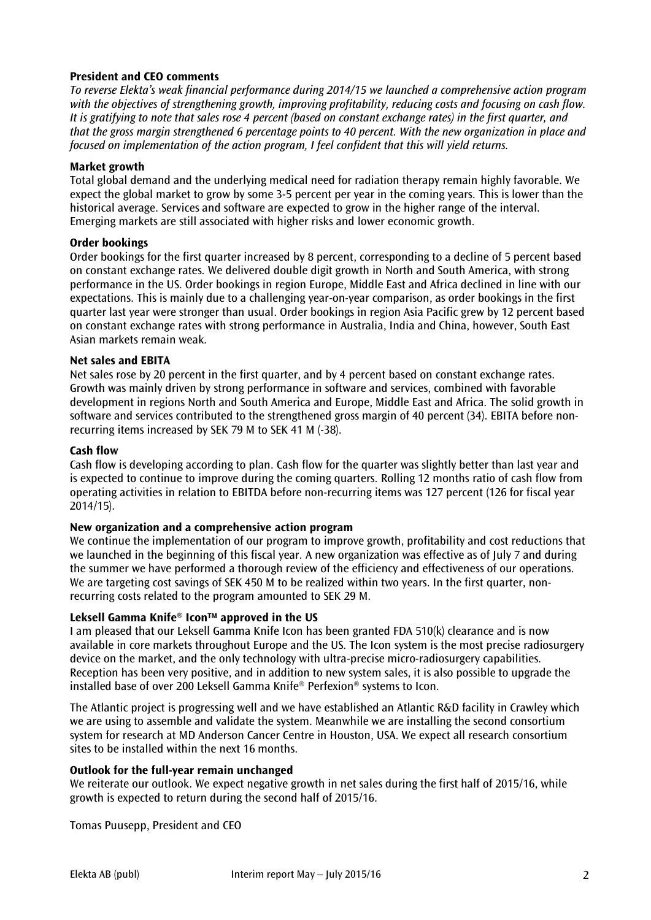# **President and CEO comments**

*To reverse Elekta's weak financial performance during 2014/15 we launched a comprehensive action program with the objectives of strengthening growth, improving profitability, reducing costs and focusing on cash flow. It is gratifying to note that sales rose 4 percent (based on constant exchange rates) in the first quarter, and that the gross margin strengthened 6 percentage points to 40 percent. With the new organization in place and focused on implementation of the action program, I feel confident that this will yield returns.*

# **Market growth**

Total global demand and the underlying medical need for radiation therapy remain highly favorable. We expect the global market to grow by some 3-5 percent per year in the coming years. This is lower than the historical average. Services and software are expected to grow in the higher range of the interval. Emerging markets are still associated with higher risks and lower economic growth.

# **Order bookings**

Order bookings for the first quarter increased by 8 percent, corresponding to a decline of 5 percent based on constant exchange rates. We delivered double digit growth in North and South America, with strong performance in the US. Order bookings in region Europe, Middle East and Africa declined in line with our expectations. This is mainly due to a challenging year-on-year comparison, as order bookings in the first quarter last year were stronger than usual. Order bookings in region Asia Pacific grew by 12 percent based on constant exchange rates with strong performance in Australia, India and China, however, South East Asian markets remain weak.

# **Net sales and EBITA**

Net sales rose by 20 percent in the first quarter, and by 4 percent based on constant exchange rates. Growth was mainly driven by strong performance in software and services, combined with favorable development in regions North and South America and Europe, Middle East and Africa. The solid growth in software and services contributed to the strengthened gross margin of 40 percent (34). EBITA before nonrecurring items increased by SEK 79 M to SEK 41 M (-38).

#### **Cash flow**

Cash flow is developing according to plan. Cash flow for the quarter was slightly better than last year and is expected to continue to improve during the coming quarters. Rolling 12 months ratio of cash flow from operating activities in relation to EBITDA before non-recurring items was 127 percent (126 for fiscal year 2014/15).

# **New organization and a comprehensive action program**

We continue the implementation of our program to improve growth, profitability and cost reductions that we launched in the beginning of this fiscal year. A new organization was effective as of July 7 and during the summer we have performed a thorough review of the efficiency and effectiveness of our operations. We are targeting cost savings of SEK 450 M to be realized within two years. In the first quarter, nonrecurring costs related to the program amounted to SEK 29 M.

# **Leksell Gamma Knife® IconTM approved in the US**

I am pleased that our Leksell Gamma Knife Icon has been granted FDA 510(k) clearance and is now available in core markets throughout Europe and the US. The Icon system is the most precise radiosurgery device on the market, and the only technology with ultra-precise micro-radiosurgery capabilities. Reception has been very positive, and in addition to new system sales, it is also possible to upgrade the installed base of over 200 Leksell Gamma Knife® Perfexion® systems to Icon.

The Atlantic project is progressing well and we have established an Atlantic R&D facility in Crawley which we are using to assemble and validate the system. Meanwhile we are installing the second consortium system for research at MD Anderson Cancer Centre in Houston, USA. We expect all research consortium sites to be installed within the next 16 months.

#### **Outlook for the full-year remain unchanged**

We reiterate our outlook. We expect negative growth in net sales during the first half of 2015/16, while growth is expected to return during the second half of 2015/16.

Tomas Puusepp, President and CEO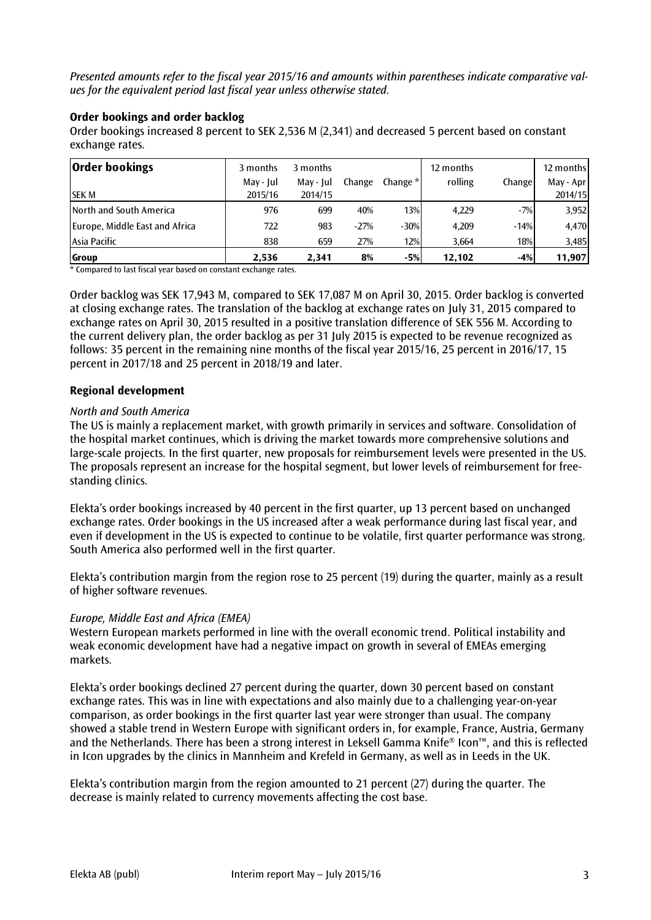*Presented amounts refer to the fiscal year 2015/16 and amounts within parentheses indicate comparative values for the equivalent period last fiscal year unless otherwise stated.*

# **Order bookings and order backlog**

Order bookings increased 8 percent to SEK 2,536 M (2,341) and decreased 5 percent based on constant exchange rates.

| <b>Order bookings</b>          | 3 months  | 3 months  |        |            | 12 months |        | 12 months |
|--------------------------------|-----------|-----------|--------|------------|-----------|--------|-----------|
|                                | May - Jul | May - Jul | Change | Change $*$ | rolling   | Change | May - Apr |
| <b>SEK M</b>                   | 2015/16   | 2014/15   |        |            |           |        | 2014/15   |
| <b>North and South America</b> | 976       | 699       | 40%    | 13%        | 4.229     | $-7%$  | 3,952     |
| Europe, Middle East and Africa | 722       | 983       | $-27%$ | $-30%$     | 4.209     | $-14%$ | 4,470     |
| Asia Pacific                   | 838       | 659       | 27%    | 12%        | 3.664     | 18%    | 3,485     |
| Group                          | 2,536     | 2,341     | 8%     | -5%        | 12.102    | $-4%$  | 11,907    |

\* Compared to last fiscal year based on constant exchange rates.

Order backlog was SEK 17,943 M, compared to SEK 17,087 M on April 30, 2015. Order backlog is converted at closing exchange rates. The translation of the backlog at exchange rates on July 31, 2015 compared to exchange rates on April 30, 2015 resulted in a positive translation difference of SEK 556 M. According to the current delivery plan, the order backlog as per 31 July 2015 is expected to be revenue recognized as follows: 35 percent in the remaining nine months of the fiscal year 2015/16, 25 percent in 2016/17, 15 percent in 2017/18 and 25 percent in 2018/19 and later.

# **Regional development**

#### *North and South America*

The US is mainly a replacement market, with growth primarily in services and software. Consolidation of the hospital market continues, which is driving the market towards more comprehensive solutions and large-scale projects. In the first quarter, new proposals for reimbursement levels were presented in the US. The proposals represent an increase for the hospital segment, but lower levels of reimbursement for freestanding clinics.

Elekta's order bookings increased by 40 percent in the first quarter, up 13 percent based on unchanged exchange rates. Order bookings in the US increased after a weak performance during last fiscal year, and even if development in the US is expected to continue to be volatile, first quarter performance was strong. South America also performed well in the first quarter.

Elekta's contribution margin from the region rose to 25 percent (19) during the quarter, mainly as a result of higher software revenues.

#### *Europe, Middle East and Africa (EMEA)*

Western European markets performed in line with the overall economic trend. Political instability and weak economic development have had a negative impact on growth in several of EMEAs emerging markets.

Elekta's order bookings declined 27 percent during the quarter, down 30 percent based on constant exchange rates. This was in line with expectations and also mainly due to a challenging year-on-year comparison, as order bookings in the first quarter last year were stronger than usual. The company showed a stable trend in Western Europe with significant orders in, for example, France, Austria, Germany and the Netherlands. There has been a strong interest in Leksell Gamma Knife® Icon™, and this is reflected in Icon upgrades by the clinics in Mannheim and Krefeld in Germany, as well as in Leeds in the UK.

Elekta's contribution margin from the region amounted to 21 percent (27) during the quarter. The decrease is mainly related to currency movements affecting the cost base.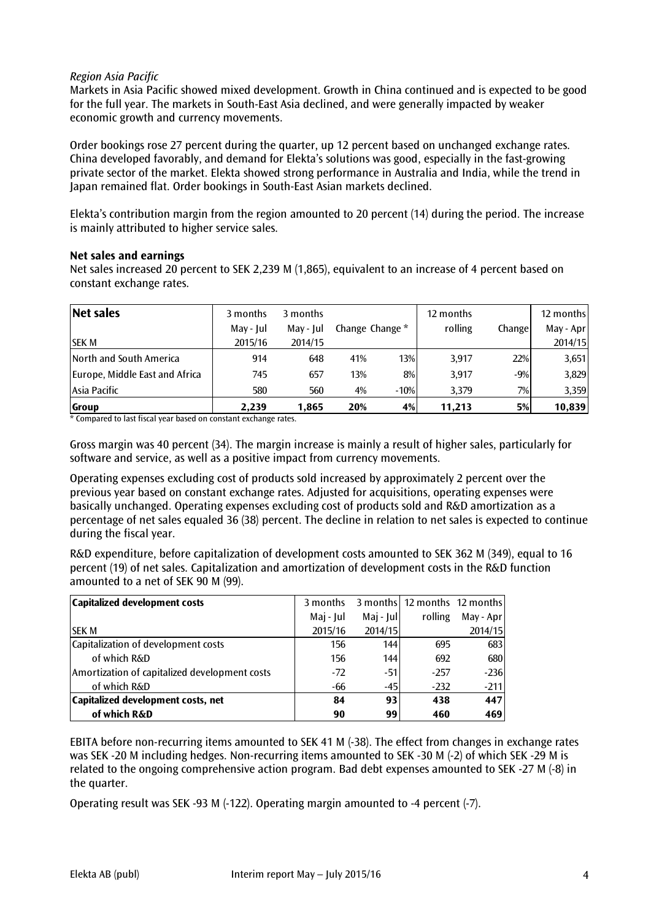# *Region Asia Pacific*

Markets in Asia Pacific showed mixed development. Growth in China continued and is expected to be good for the full year. The markets in South-East Asia declined, and were generally impacted by weaker economic growth and currency movements.

Order bookings rose 27 percent during the quarter, up 12 percent based on unchanged exchange rates. China developed favorably, and demand for Elekta's solutions was good, especially in the fast-growing private sector of the market. Elekta showed strong performance in Australia and India, while the trend in Japan remained flat. Order bookings in South-East Asian markets declined.

Elekta's contribution margin from the region amounted to 20 percent (14) during the period. The increase is mainly attributed to higher service sales.

# **Net sales and earnings**

Net sales increased 20 percent to SEK 2,239 M (1,865), equivalent to an increase of 4 percent based on constant exchange rates.

| Net sales                      | 3 months  | 3 months  |                 |        | 12 months |        | 12 months |
|--------------------------------|-----------|-----------|-----------------|--------|-----------|--------|-----------|
|                                | May - Jul | May - Jul | Change Change * |        | rolling   | Change | May - Apr |
| <b>SEK M</b>                   | 2015/16   | 2014/15   |                 |        |           |        | 2014/15   |
| North and South America        | 914       | 648       | 41%             | 13%    | 3,917     | 22%    | 3,651     |
| Europe, Middle East and Africa | 745       | 657       | 13%             | 8%     | 3,917     | $-9%$  | 3,829     |
| Asia Pacific                   | 580       | 560       | 4%              | $-10%$ | 3,379     | 7%     | 3,359     |
| Group                          | 2,239     | 1.865     | 20%             | 4%     | 11,213    | 5%     | 10.839    |

\* Compared to last fiscal year based on constant exchange rates.

Gross margin was 40 percent (34). The margin increase is mainly a result of higher sales, particularly for software and service, as well as a positive impact from currency movements.

Operating expenses excluding cost of products sold increased by approximately 2 percent over the previous year based on constant exchange rates. Adjusted for acquisitions, operating expenses were basically unchanged. Operating expenses excluding cost of products sold and R&D amortization as a percentage of net sales equaled 36 (38) percent. The decline in relation to net sales is expected to continue during the fiscal year.

R&D expenditure, before capitalization of development costs amounted to SEK 362 M (349), equal to 16 percent (19) of net sales. Capitalization and amortization of development costs in the R&D function amounted to a net of SEK 90 M (99).

| Capitalized development costs                 | 3 months  |             | 3 months 12 months 12 months |           |
|-----------------------------------------------|-----------|-------------|------------------------------|-----------|
|                                               | Maj - Jul | $Maj - Jul$ | rolling                      | May - Apr |
| <b>SEK M</b>                                  | 2015/16   | 2014/15     |                              | 2014/15   |
| Capitalization of development costs           | 156       | 144         | 695                          | 683       |
| of which R&D                                  | 156       | 144         | 692                          | 680       |
| Amortization of capitalized development costs | $-72$     | -51         | $-257$                       | $-236$    |
| of which R&D                                  | $-66$     | $-45$       | $-232$                       | $-211$    |
| Capitalized development costs, net            | 84        | 93          | 438                          | 447       |
| of which R&D                                  | 90        | 99          | 460                          | 469       |

EBITA before non-recurring items amounted to SEK 41 M (-38). The effect from changes in exchange rates was SEK -20 M including hedges. Non-recurring items amounted to SEK -30 M (-2) of which SEK -29 M is related to the ongoing comprehensive action program. Bad debt expenses amounted to SEK -27 M (-8) in the quarter.

Operating result was SEK -93 M (-122). Operating margin amounted to -4 percent (-7).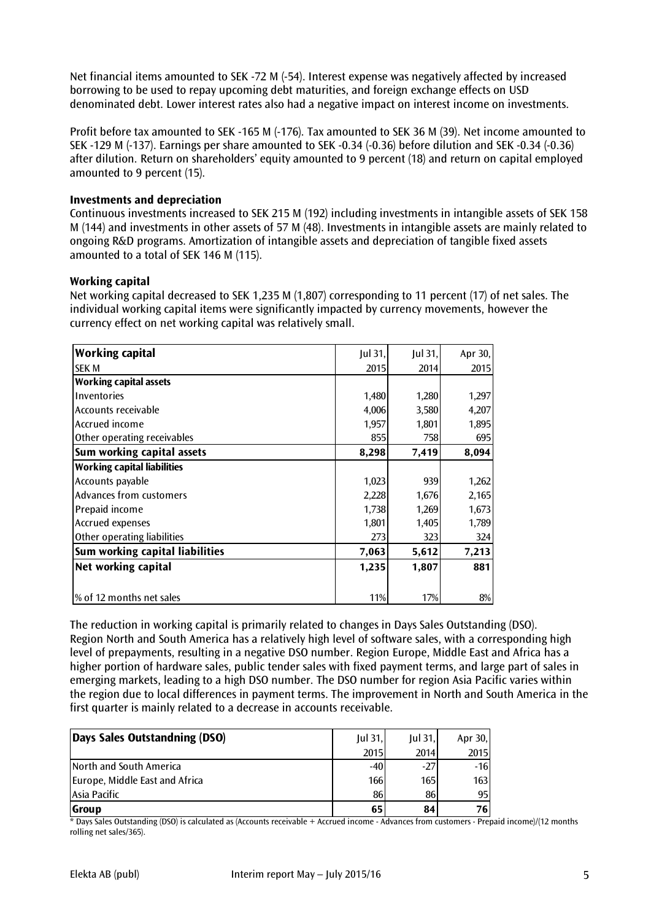Net financial items amounted to SEK -72 M (-54). Interest expense was negatively affected by increased borrowing to be used to repay upcoming debt maturities, and foreign exchange effects on USD denominated debt. Lower interest rates also had a negative impact on interest income on investments.

Profit before tax amounted to SEK -165 M (-176). Tax amounted to SEK 36 M (39). Net income amounted to SEK -129 M (-137). Earnings per share amounted to SEK -0.34 (-0.36) before dilution and SEK -0.34 (-0.36) after dilution. Return on shareholders' equity amounted to 9 percent (18) and return on capital employed amounted to 9 percent (15).

#### **Investments and depreciation**

Continuous investments increased to SEK 215 M (192) including investments in intangible assets of SEK 158 M (144) and investments in other assets of 57 M (48). Investments in intangible assets are mainly related to ongoing R&D programs. Amortization of intangible assets and depreciation of tangible fixed assets amounted to a total of SEK 146 M (115).

# **Working capital**

Net working capital decreased to SEK 1,235 M (1,807) corresponding to 11 percent (17) of net sales. The individual working capital items were significantly impacted by currency movements, however the currency effect on net working capital was relatively small.

| <b>Working capital</b>             | Jul 31, | Jul 31, | Apr 30, |
|------------------------------------|---------|---------|---------|
| <b>ISEK M</b>                      | 2015    | 2014    | 2015    |
| <b>Working capital assets</b>      |         |         |         |
| Inventories                        | 1,480   | 1,280   | 1,297   |
| Accounts receivable                | 4,006   | 3,580   | 4,207   |
| Accrued income                     | 1,957   | 1,801   | 1,895   |
| Other operating receivables        | 855     | 758     | 695     |
| Sum working capital assets         | 8,298   | 7,419   | 8,094   |
| <b>Working capital liabilities</b> |         |         |         |
| Accounts payable                   | 1,023   | 939     | 1,262   |
| Advances from customers            | 2,228   | 1,676   | 2,165   |
| Prepaid income                     | 1,738   | 1,269   | 1,673   |
| <b>Accrued expenses</b>            | 1,801   | 1,405   | 1,789   |
| Other operating liabilities        | 273     | 323     | 324     |
| Sum working capital liabilities    | 7,063   | 5,612   | 7,213   |
| Net working capital                | 1,235   | 1,807   | 881     |
|                                    |         |         |         |
| % of 12 months net sales           | 11%     | 17%     | $8\%$   |

The reduction in working capital is primarily related to changes in Days Sales Outstanding (DSO). Region North and South America has a relatively high level of software sales, with a corresponding high level of prepayments, resulting in a negative DSO number. Region Europe, Middle East and Africa has a higher portion of hardware sales, public tender sales with fixed payment terms, and large part of sales in emerging markets, leading to a high DSO number. The DSO number for region Asia Pacific varies within the region due to local differences in payment terms. The improvement in North and South America in the first quarter is mainly related to a decrease in accounts receivable.

| Days Sales Outstandning (DSO)  | $Iul$ 31. | $Iul$ 31. | Apr 30,          |
|--------------------------------|-----------|-----------|------------------|
|                                | 2015      | 2014      | <b>2015</b>      |
| North and South America        | $-40$     | $-27$     | $-16$            |
| Europe, Middle East and Africa | 166I      | 165I      | 163 <sup>l</sup> |
| Asia Pacific                   | 86        | 86        | 95I              |
| <b>Group</b>                   | 65        | 84        | 76 I             |

\* Days Sales Outstanding (DSO) is calculated as (Accounts receivable + Accrued income - Advances from customers - Prepaid income)/(12 months rolling net sales/365).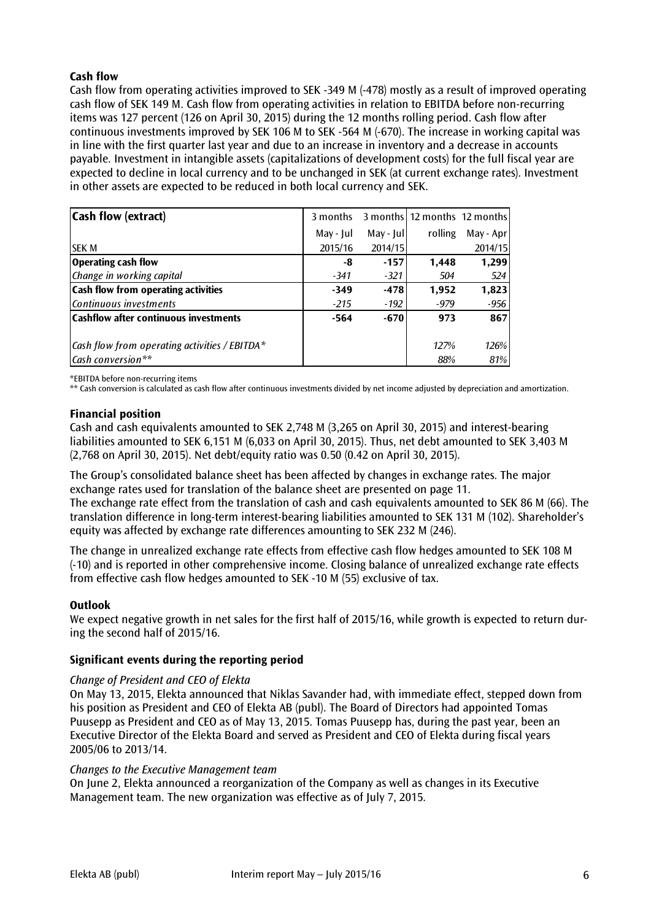# **Cash flow**

Cash flow from operating activities improved to SEK -349 M (-478) mostly as a result of improved operating cash flow of SEK 149 M. Cash flow from operating activities in relation to EBITDA before non-recurring items was 127 percent (126 on April 30, 2015) during the 12 months rolling period. Cash flow after continuous investments improved by SEK 106 M to SEK -564 M (-670). The increase in working capital was in line with the first quarter last year and due to an increase in inventory and a decrease in accounts payable. Investment in intangible assets (capitalizations of development costs) for the full fiscal year are expected to decline in local currency and to be unchanged in SEK (at current exchange rates). Investment in other assets are expected to be reduced in both local currency and SEK.

| <b>Cash flow (extract)</b>                            | 3 months  |            | 3 months 12 months 12 months |           |
|-------------------------------------------------------|-----------|------------|------------------------------|-----------|
|                                                       | May - Jul | May - Jull | rolling                      | May - Apr |
| <b>SEK M</b>                                          | 2015/16   | 2014/15    |                              | 2014/15   |
| <b>Operating cash flow</b>                            | -8        | $-157$     | 1,448                        | 1,299     |
| Change in working capital                             | $-341$    | $-321$     | 504                          | 524       |
| <b>Cash flow from operating activities</b>            | $-349$    | $-478$     | 1,952                        | 1,823     |
| Continuous investments                                | $-215$    | $-192$     | -979                         | $-956$    |
| <b>Cashflow after continuous investments</b>          | $-564$    | $-670$     | 973                          | 867       |
| $\vert$ Cash flow from operating activities / EBITDA* |           |            | 127%                         | 126%      |
| Cash conversion**                                     |           |            | 88%                          | 81%       |

\*EBITDA before non-recurring items

\*\* Cash conversion is calculated as cash flow after continuous investments divided by net income adjusted by depreciation and amortization.

#### **Financial position**

Cash and cash equivalents amounted to SEK 2,748 M (3,265 on April 30, 2015) and interest-bearing liabilities amounted to SEK 6,151 M (6,033 on April 30, 2015). Thus, net debt amounted to SEK 3,403 M (2,768 on April 30, 2015). Net debt/equity ratio was 0.50 (0.42 on April 30, 2015).

The Group's consolidated balance sheet has been affected by changes in exchange rates. The major exchange rates used for translation of the balance sheet are presented on page 11.

The exchange rate effect from the translation of cash and cash equivalents amounted to SEK 86 M (66). The translation difference in long-term interest-bearing liabilities amounted to SEK 131 M (102). Shareholder's equity was affected by exchange rate differences amounting to SEK 232 M (246).

The change in unrealized exchange rate effects from effective cash flow hedges amounted to SEK 108 M (-10) and is reported in other comprehensive income. Closing balance of unrealized exchange rate effects from effective cash flow hedges amounted to SEK -10 M (55) exclusive of tax.

#### **Outlook**

We expect negative growth in net sales for the first half of 2015/16, while growth is expected to return during the second half of 2015/16.

# **Significant events during the reporting period**

#### *Change of President and CEO of Elekta*

On May 13, 2015, Elekta announced that Niklas Savander had, with immediate effect, stepped down from his position as President and CEO of Elekta AB (publ). The Board of Directors had appointed Tomas Puusepp as President and CEO as of May 13, 2015. Tomas Puusepp has, during the past year, been an Executive Director of the Elekta Board and served as President and CEO of Elekta during fiscal years 2005/06 to 2013/14.

#### *Changes to the Executive Management team*

On June 2, Elekta announced a reorganization of the Company as well as changes in its Executive Management team. The new organization was effective as of July 7, 2015.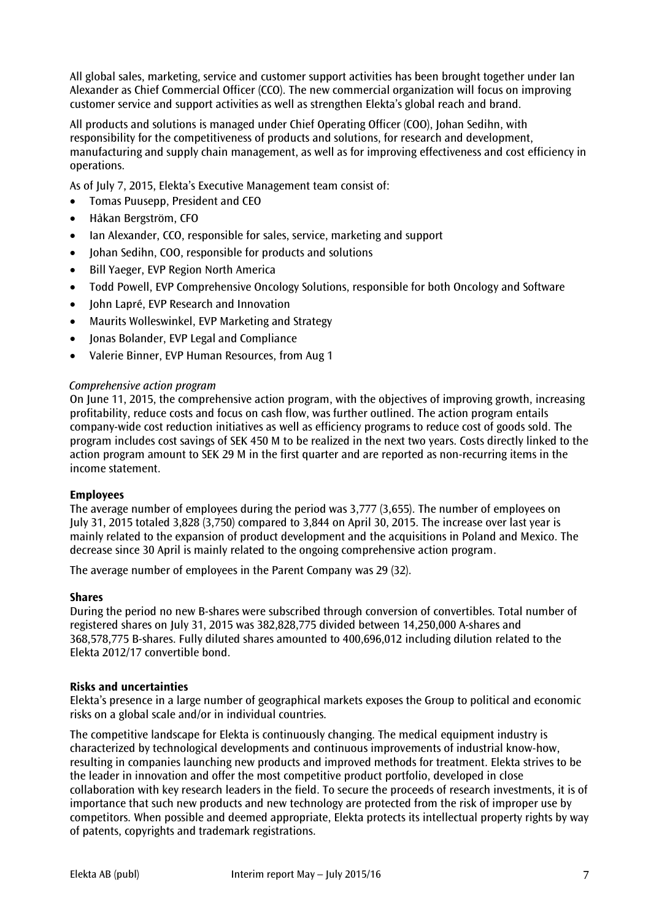All global sales, marketing, service and customer support activities has been brought together under Ian Alexander as Chief Commercial Officer (CCO). The new commercial organization will focus on improving customer service and support activities as well as strengthen Elekta's global reach and brand.

All products and solutions is managed under Chief Operating Officer (COO), Johan Sedihn, with responsibility for the competitiveness of products and solutions, for research and development, manufacturing and supply chain management, as well as for improving effectiveness and cost efficiency in operations.

As of July 7, 2015, Elekta's Executive Management team consist of:

- Tomas Puusepp, President and CEO
- Håkan Bergström, CFO
- Ian Alexander, CCO, responsible for sales, service, marketing and support
- Johan Sedihn, COO, responsible for products and solutions
- Bill Yaeger, EVP Region North America
- Todd Powell, EVP Comprehensive Oncology Solutions, responsible for both Oncology and Software
- Iohn Lapré, EVP Research and Innovation
- Maurits Wolleswinkel, EVP Marketing and Strategy
- Jonas Bolander, EVP Legal and Compliance
- Valerie Binner, EVP Human Resources, from Aug 1

#### *Comprehensive action program*

On June 11, 2015, the comprehensive action program, with the objectives of improving growth, increasing profitability, reduce costs and focus on cash flow, was further outlined. The action program entails company-wide cost reduction initiatives as well as efficiency programs to reduce cost of goods sold. The program includes cost savings of SEK 450 M to be realized in the next two years. Costs directly linked to the action program amount to SEK 29 M in the first quarter and are reported as non-recurring items in the income statement.

#### **Employees**

The average number of employees during the period was 3,777 (3,655). The number of employees on July 31, 2015 totaled 3,828 (3,750) compared to 3,844 on April 30, 2015. The increase over last year is mainly related to the expansion of product development and the acquisitions in Poland and Mexico. The decrease since 30 April is mainly related to the ongoing comprehensive action program.

The average number of employees in the Parent Company was 29 (32).

#### **Shares**

During the period no new B-shares were subscribed through conversion of convertibles. Total number of registered shares on July 31, 2015 was 382,828,775 divided between 14,250,000 A-shares and 368,578,775 B-shares. Fully diluted shares amounted to 400,696,012 including dilution related to the Elekta 2012/17 convertible bond.

#### **Risks and uncertainties**

Elekta's presence in a large number of geographical markets exposes the Group to political and economic risks on a global scale and/or in individual countries.

The competitive landscape for Elekta is continuously changing. The medical equipment industry is characterized by technological developments and continuous improvements of industrial know-how, resulting in companies launching new products and improved methods for treatment. Elekta strives to be the leader in innovation and offer the most competitive product portfolio, developed in close collaboration with key research leaders in the field. To secure the proceeds of research investments, it is of importance that such new products and new technology are protected from the risk of improper use by competitors. When possible and deemed appropriate, Elekta protects its intellectual property rights by way of patents, copyrights and trademark registrations.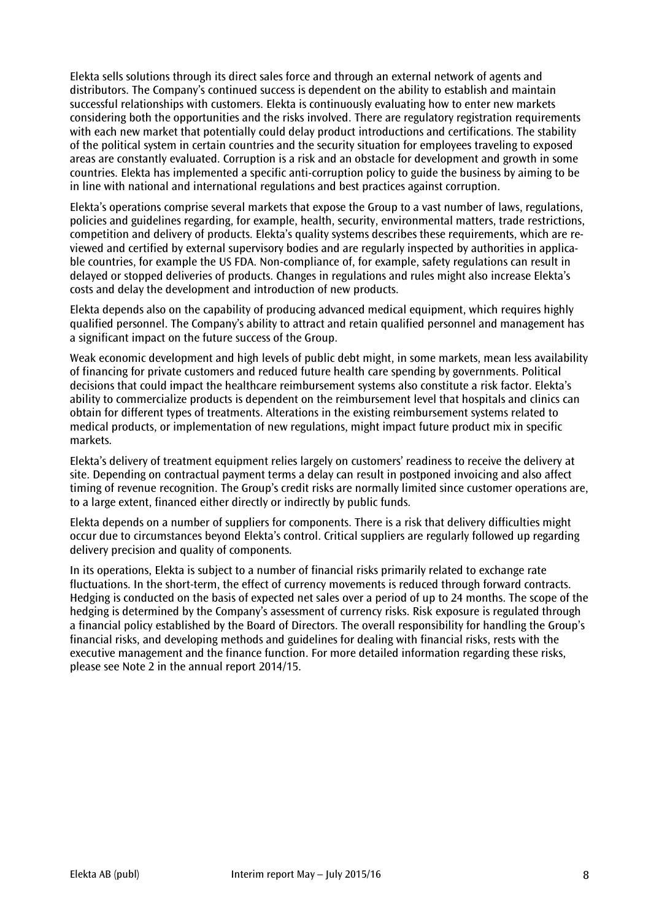Elekta sells solutions through its direct sales force and through an external network of agents and distributors. The Company's continued success is dependent on the ability to establish and maintain successful relationships with customers. Elekta is continuously evaluating how to enter new markets considering both the opportunities and the risks involved. There are regulatory registration requirements with each new market that potentially could delay product introductions and certifications. The stability of the political system in certain countries and the security situation for employees traveling to exposed areas are constantly evaluated. Corruption is a risk and an obstacle for development and growth in some countries. Elekta has implemented a specific anti-corruption policy to guide the business by aiming to be in line with national and international regulations and best practices against corruption.

Elekta's operations comprise several markets that expose the Group to a vast number of laws, regulations, policies and guidelines regarding, for example, health, security, environmental matters, trade restrictions, competition and delivery of products. Elekta's quality systems describes these requirements, which are reviewed and certified by external supervisory bodies and are regularly inspected by authorities in applicable countries, for example the US FDA. Non-compliance of, for example, safety regulations can result in delayed or stopped deliveries of products. Changes in regulations and rules might also increase Elekta's costs and delay the development and introduction of new products.

Elekta depends also on the capability of producing advanced medical equipment, which requires highly qualified personnel. The Company's ability to attract and retain qualified personnel and management has a significant impact on the future success of the Group.

Weak economic development and high levels of public debt might, in some markets, mean less availability of financing for private customers and reduced future health care spending by governments. Political decisions that could impact the healthcare reimbursement systems also constitute a risk factor. Elekta's ability to commercialize products is dependent on the reimbursement level that hospitals and clinics can obtain for different types of treatments. Alterations in the existing reimbursement systems related to medical products, or implementation of new regulations, might impact future product mix in specific markets.

Elekta's delivery of treatment equipment relies largely on customers' readiness to receive the delivery at site. Depending on contractual payment terms a delay can result in postponed invoicing and also affect timing of revenue recognition. The Group's credit risks are normally limited since customer operations are, to a large extent, financed either directly or indirectly by public funds.

Elekta depends on a number of suppliers for components. There is a risk that delivery difficulties might occur due to circumstances beyond Elekta's control. Critical suppliers are regularly followed up regarding delivery precision and quality of components.

In its operations, Elekta is subject to a number of financial risks primarily related to exchange rate fluctuations. In the short-term, the effect of currency movements is reduced through forward contracts. Hedging is conducted on the basis of expected net sales over a period of up to 24 months. The scope of the hedging is determined by the Company's assessment of currency risks. Risk exposure is regulated through a financial policy established by the Board of Directors. The overall responsibility for handling the Group's financial risks, and developing methods and guidelines for dealing with financial risks, rests with the executive management and the finance function. For more detailed information regarding these risks, please see Note 2 in the annual report 2014/15.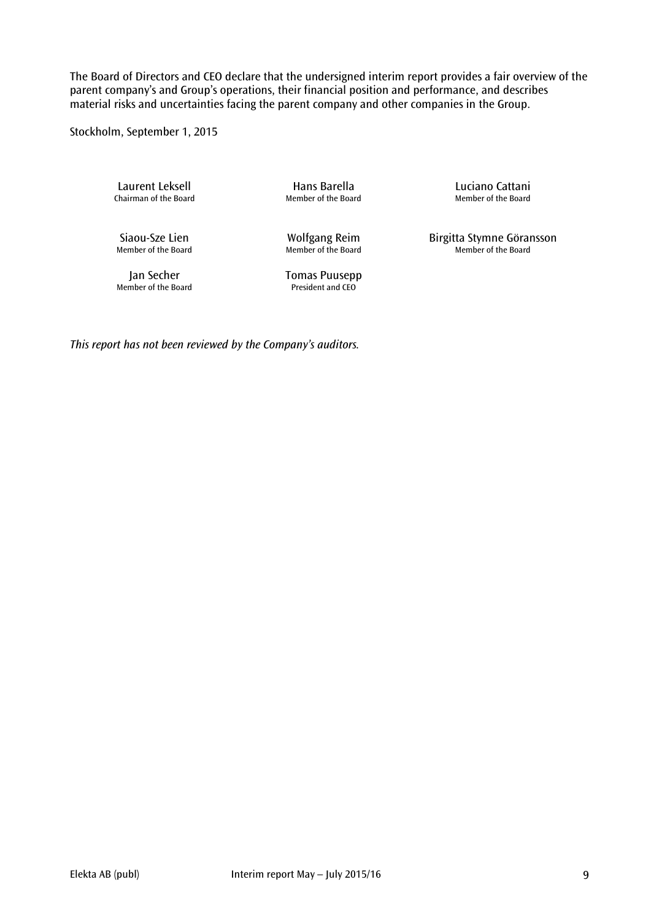The Board of Directors and CEO declare that the undersigned interim report provides a fair overview of the parent company's and Group's operations, their financial position and performance, and describes material risks and uncertainties facing the parent company and other companies in the Group.

Stockholm, September 1, 2015

Laurent Leksell **Example 2** Hans Barella<br>Chairman of the Board **Chairman of the Board** Chairman of the Board Member of the Board Chairman of the Board

Wolfgang Reim<br>Member of the Board

Jan Secher Tomas Puusepp<br>mber of the Board<br>President and CEO Member of the Board

Siaou-Sze Lien **Molfgang Reim** Birgitta Stymne Göransson<br>Member of the Board Member of the Board Member of the Board

*This report has not been reviewed by the Company's auditors.*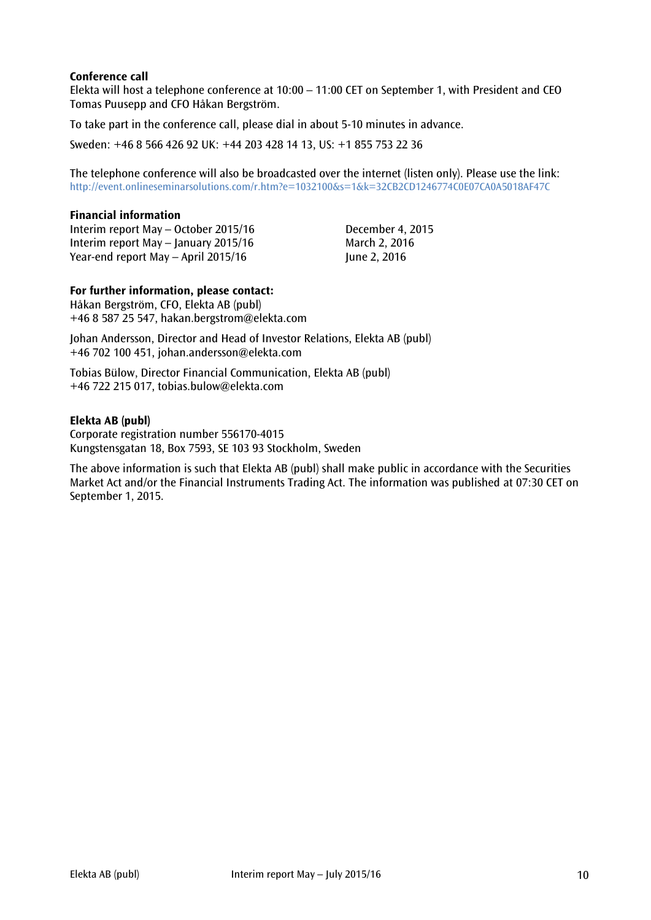# **Conference call**

Elekta will host a telephone conference at 10:00 – 11:00 CET on September 1, with President and CEO Tomas Puusepp and CFO Håkan Bergström.

To take part in the conference call, please dial in about 5-10 minutes in advance.

Sweden: +46 8 566 426 92 UK: +44 203 428 14 13, US: +1 855 753 22 36

The telephone conference will also be broadcasted over the internet (listen only). Please use the link: <http://event.onlineseminarsolutions.com/r.htm?e=1032100&s=1&k=32CB2CD1246774C0E07CA0A5018AF47C>

#### **Financial information**

Interim report May – October 2015/16 December 4, 2015 Interim report May – January 2015/16 March 2, 2016 Year-end report May – April  $2015/16$  June 2, 2016

#### **For further information, please contact:**

Håkan Bergström, CFO, Elekta AB (publ) +46 8 587 25 547, hakan.bergstrom@elekta.com

Johan Andersson, Director and Head of Investor Relations, Elekta AB (publ) +46 702 100 451, johan.andersson@elekta.com

Tobias Bülow, Director Financial Communication, Elekta AB (publ) +46 722 215 017, tobias.bulow@elekta.com

#### **Elekta AB (publ)**

Corporate registration number 556170-4015 Kungstensgatan 18, Box 7593, SE 103 93 Stockholm, Sweden

The above information is such that Elekta AB (publ) shall make public in accordance with the Securities Market Act and/or the Financial Instruments Trading Act. The information was published at 07:30 CET on September 1, 2015.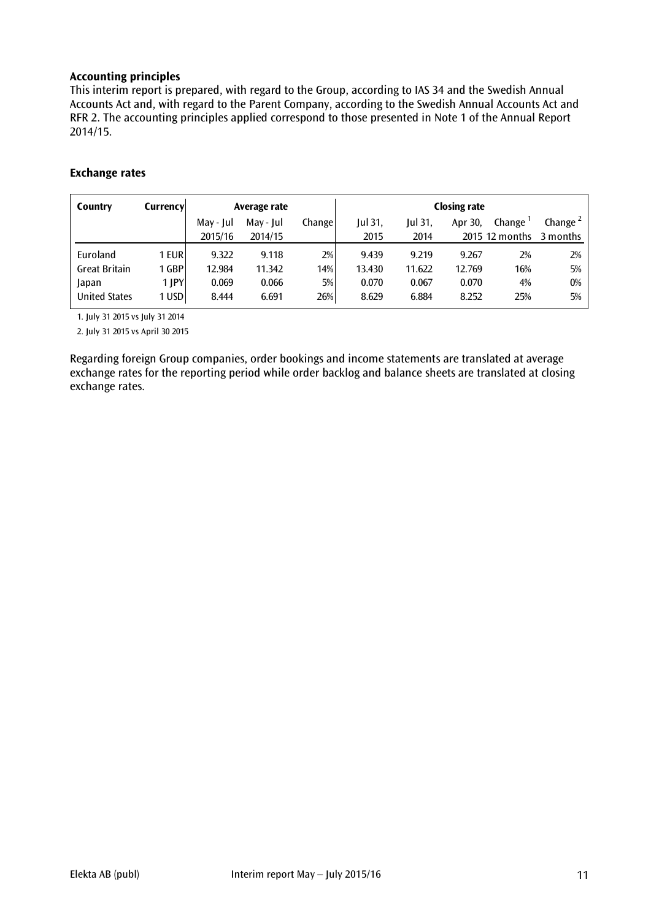# **Accounting principles**

This interim report is prepared, with regard to the Group, according to IAS 34 and the Swedish Annual Accounts Act and, with regard to the Parent Company, according to the Swedish Annual Accounts Act and RFR 2. The accounting principles applied correspond to those presented in Note 1 of the Annual Report 2014/15.

# **Exchange rates**

| Country              | <b>Currency</b> |           | Average rate |        | <b>Closing rate</b> |           |         |                |                      |
|----------------------|-----------------|-----------|--------------|--------|---------------------|-----------|---------|----------------|----------------------|
|                      |                 | May - Jul | May - Jul    | Change | Jul 31,             | $ ul$ 31, | Apr 30, | Change         | Change $\frac{2}{3}$ |
|                      |                 | 2015/16   | 2014/15      |        | 2015                | 2014      |         | 2015 12 months | 3 months             |
| Euroland             | 1 EUR           | 9.322     | 9.118        | 2%     | 9.439               | 9.219     | 9.267   | 2%             | 2%                   |
| <b>Great Britain</b> | 1 GBP           | 12.984    | 11.342       | 14%    | 13.430              | 11.622    | 12.769  | 16%            | 5%                   |
| Japan                | 1 JPY           | 0.069     | 0.066        | 5%     | 0.070               | 0.067     | 0.070   | 4%             | $0\%$                |
| <b>United States</b> | 1 USD           | 8.444     | 6.691        | 26%    | 8.629               | 6.884     | 8.252   | 25%            | 5%                   |

1. July 31 2015 vs July 31 2014

2. July 31 2015 vs April 30 2015

Regarding foreign Group companies, order bookings and income statements are translated at average exchange rates for the reporting period while order backlog and balance sheets are translated at closing exchange rates.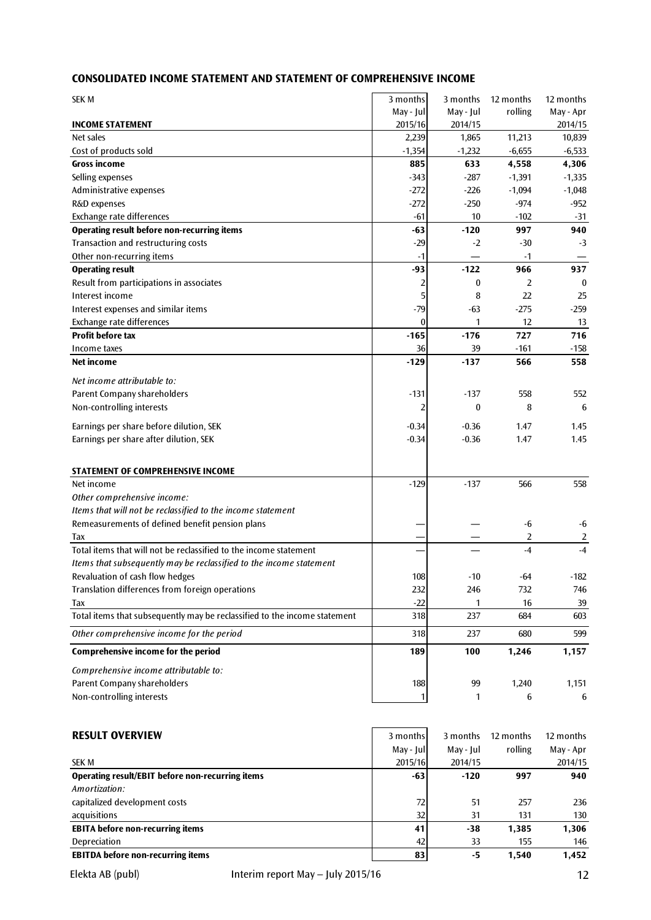# **CONSOLIDATED INCOME STATEMENT AND STATEMENT OF COMPREHENSIVE INCOME**

| <b>SEK M</b>                                                              | 3 months       | 3 months         | 12 months | 12 months      |
|---------------------------------------------------------------------------|----------------|------------------|-----------|----------------|
|                                                                           | May - Jul      | May - Jul        | rolling   | May - Apr      |
| <b>INCOME STATEMENT</b>                                                   | 2015/16        | 2014/15          |           | 2014/15        |
| Net sales                                                                 | 2,239          | 1,865            | 11,213    | 10,839         |
| Cost of products sold                                                     | $-1,354$       | $-1,232$         | $-6,655$  | $-6,533$       |
| <b>Gross income</b>                                                       | 885            | 633              | 4,558     | 4,306          |
| Selling expenses                                                          | $-343$         | $-287$           | $-1,391$  | $-1,335$       |
| Administrative expenses                                                   | $-272$         | $-226$           | $-1,094$  | $-1,048$       |
| R&D expenses                                                              | $-272$         | $-250$           | -974      | $-952$         |
| Exchange rate differences                                                 | -61            | 10               | $-102$    | $-31$          |
| <b>Operating result before non-recurring items</b>                        | -63            | $-120$           | 997       | 940            |
| Transaction and restructuring costs                                       | $-29$          | $-2$             | $-30$     | $-3$           |
| Other non-recurring items                                                 | $-1$           |                  | $-1$      |                |
| <b>Operating result</b>                                                   | -93            | $-122$           | 966       | 937            |
| Result from participations in associates                                  | 2              | $\bf{0}$         | 2         | $\mathbf{0}$   |
| Interest income                                                           | 5              | 8                | 22        | 25             |
| Interest expenses and similar items                                       | $-79$          | -63              | $-275$    | $-259$         |
| Exchange rate differences                                                 | $\bf{0}$       | 1                | 12        | 13             |
| <b>Profit before tax</b>                                                  | $-165$         | $-176$           | 727       | 716            |
| Income taxes                                                              | 36             | 39               | $-161$    | $-158$         |
| Net income                                                                | $-129$         | $-137$           | 566       | 558            |
| Net income attributable to:                                               |                |                  |           |                |
| Parent Company shareholders                                               | $-131$         | $-137$           | 558       | 552            |
| Non-controlling interests                                                 | $\overline{2}$ | $\boldsymbol{0}$ | 8         | 6              |
| Earnings per share before dilution, SEK                                   | $-0.34$        | $-0.36$          | 1.47      | 1.45           |
| Earnings per share after dilution, SEK                                    | $-0.34$        | $-0.36$          | 1.47      | 1.45           |
|                                                                           |                |                  |           |                |
| STATEMENT OF COMPREHENSIVE INCOME                                         |                |                  |           |                |
| Net income                                                                | $-129$         | $-137$           | 566       | 558            |
| Other comprehensive income:                                               |                |                  |           |                |
| Items that will not be reclassified to the income statement               |                |                  |           |                |
| Remeasurements of defined benefit pension plans                           |                |                  | -6        | $-6$           |
| Tax                                                                       |                |                  | 2         | $\overline{2}$ |
| Total items that will not be reclassified to the income statement         |                |                  | $-4$      | $-4$           |
| Items that subsequently may be reclassified to the income statement       |                |                  |           |                |
| Revaluation of cash flow hedges                                           | 108            | $-10$            | -64       | $-182$         |
| Translation differences from foreign operations                           | 232            | 246              | 732       | 746            |
| Tax                                                                       | $-22$          | 1                | 16        | 39             |
| Total items that subsequently may be reclassified to the income statement | 318            | 237              | 684       | 603            |
| Other comprehensive income for the period                                 | 318            | 237              | 680       | 599            |
| Comprehensive income for the period                                       | 189            | 100              | 1,246     | 1,157          |
|                                                                           |                |                  |           |                |
| Comprehensive income attributable to:                                     |                |                  |           |                |
| Parent Company shareholders                                               | 188            | 99               | 1,240     | 1,151          |
| Non-controlling interests                                                 | $\mathbf{1}$   | 1                | 6         | 6              |
|                                                                           |                |                  |           |                |
| <b>RESULT OVERVIEW</b>                                                    | 3 months       | 3 months         | 12 months | 12 months      |
|                                                                           | May - Jul      | May - Jul        | rolling   | May - Apr      |
| <b>SEK M</b>                                                              | 2015/16        | 2014/15          |           | 2014/15        |
| Operating result/EBIT before non-recurring items                          | -63            | $-120$           | 997       | 940            |
| Amortization:                                                             |                |                  |           |                |
| capitalized development costs                                             | 72             | 51               | 257       | 236            |
| acquisitions                                                              | 32             | 31               | 131       | 130            |
| <b>EBITA before non-recurring items</b>                                   | 41             | $-38$            | 1,385     | 1,306          |
| Depreciation                                                              | 42             | 33               | 155       | 146            |
| <b>EBITDA before non-recurring items</b>                                  | 83             | $-5$             | 1,540     | 1,452          |
|                                                                           |                |                  |           |                |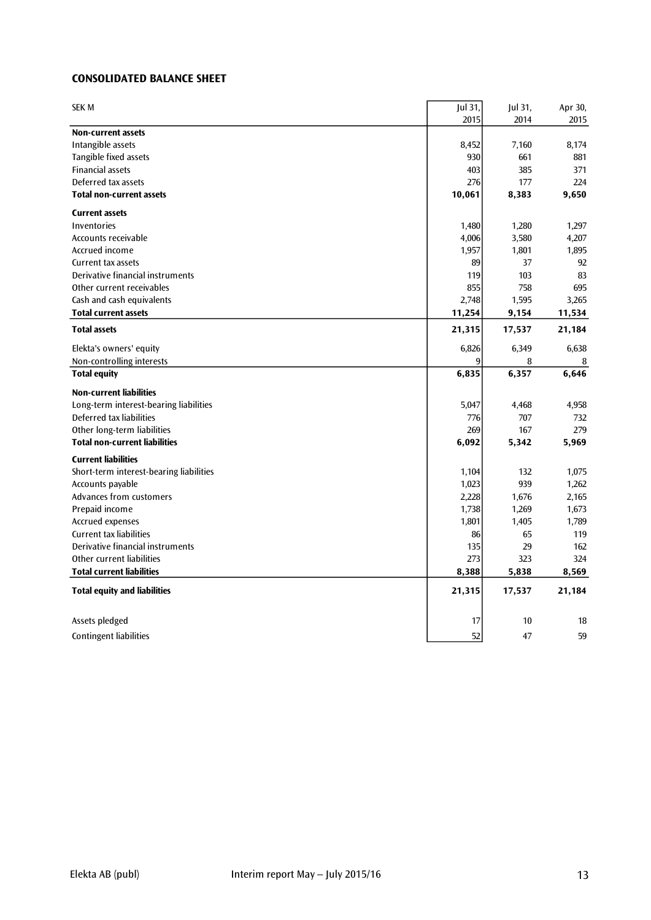# **CONSOLIDATED BALANCE SHEET**

| <b>SEK M</b>                            | Jul 31,<br>2015 | Jul 31,<br>2014 | Apr 30,<br>2015 |
|-----------------------------------------|-----------------|-----------------|-----------------|
| <b>Non-current assets</b>               |                 |                 |                 |
| Intangible assets                       | 8,452           | 7,160           | 8,174           |
| Tangible fixed assets                   | 930             | 661             | 881             |
| <b>Financial assets</b>                 | 403             | 385             | 371             |
| Deferred tax assets                     | 276             | 177             | 224             |
| <b>Total non-current assets</b>         | 10,061          | 8,383           | 9,650           |
| <b>Current assets</b>                   |                 |                 |                 |
| Inventories                             | 1,480           | 1,280           | 1,297           |
| Accounts receivable                     | 4,006           | 3,580           | 4,207           |
| Accrued income                          | 1,957           | 1,801           | 1,895           |
| Current tax assets                      | 89              | 37              | 92              |
| Derivative financial instruments        | 119             | 103             | 83              |
| Other current receivables               | 855             | 758             | 695             |
| Cash and cash equivalents               | 2,748           | 1,595           | 3,265           |
| <b>Total current assets</b>             | 11,254          | 9,154           | 11,534          |
| <b>Total assets</b>                     | 21,315          | 17,537          | 21,184          |
| Elekta's owners' equity                 | 6,826           | 6,349           | 6,638           |
| Non-controlling interests               | 9               | 8               | 8               |
| <b>Total equity</b>                     | 6,835           | 6,357           | 6,646           |
| <b>Non-current liabilities</b>          |                 |                 |                 |
| Long-term interest-bearing liabilities  | 5,047           | 4,468           | 4,958           |
| Deferred tax liabilities                | 776             | 707             | 732             |
| Other long-term liabilities             | 269             | 167             | 279             |
| <b>Total non-current liabilities</b>    | 6,092           | 5,342           | 5,969           |
| <b>Current liabilities</b>              |                 |                 |                 |
| Short-term interest-bearing liabilities | 1,104           | 132             | 1,075           |
| Accounts payable                        | 1,023           | 939             | 1,262           |
| Advances from customers                 | 2,228           | 1,676           | 2,165           |
| Prepaid income                          | 1,738           | 1,269           | 1,673           |
| <b>Accrued expenses</b>                 | 1,801           | 1,405           | 1,789           |
| <b>Current tax liabilities</b>          | 86              | 65              | 119             |
| Derivative financial instruments        | 135             | 29              | 162             |
| Other current liabilities               | 273             | 323             | 324             |
| <b>Total current liabilities</b>        | 8,388           | 5,838           | 8,569           |
| <b>Total equity and liabilities</b>     | 21,315          | 17,537          | 21,184          |
| Assets pledged                          | 17              | 10              | 18              |
| <b>Contingent liabilities</b>           | 52              | 47              | 59              |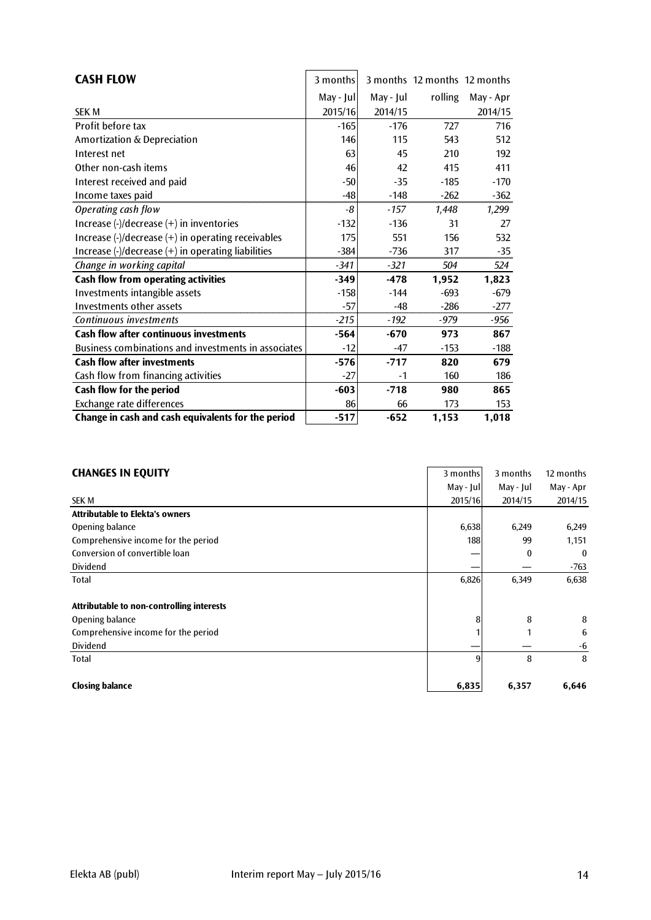| <b>CASH FLOW</b>                                                                                 | 3 months   |           | 3 months 12 months 12 months |           |
|--------------------------------------------------------------------------------------------------|------------|-----------|------------------------------|-----------|
|                                                                                                  | May - Jul  | May - Jul | rolling                      | May - Apr |
| <b>SEK M</b>                                                                                     | 2015/16    | 2014/15   |                              | 2014/15   |
| Profit before tax                                                                                | $-165$     | $-176$    | 727                          | 716       |
| Amortization & Depreciation                                                                      | <b>146</b> | 115       | 543                          | 512       |
| Interest net                                                                                     | 63         | 45        | 210                          | 192       |
| Other non-cash items                                                                             | 46         | 42        | 415                          | 411       |
| Interest received and paid                                                                       | $-50$      | $-35$     | $-185$                       | $-170$    |
| Income taxes paid                                                                                | $-48$      | $-148$    | $-262$                       | $-362$    |
| Operating cash flow                                                                              | -8         | $-157$    | 1,448                        | 1,299     |
| Increase $\left(\frac{1}{2}\right)$ decrease $\left(\frac{1}{2}\right)$ in inventories           | $-132$     | $-136$    | 31                           | 27        |
| Increase $\left(\frac{1}{2}\right)$ decrease $\left(\frac{1}{2}\right)$ in operating receivables | 175        | 551       | 156                          | 532       |
| Increase $\left(\frac{1}{2}\right)$ decrease $\left(\frac{1}{2}\right)$ in operating liabilities | $-384$     | $-736$    | 317                          | $-35$     |
| Change in working capital                                                                        | $-341$     | $-321$    | 504                          | 524       |
| Cash flow from operating activities                                                              | $-349$     | $-478$    | 1,952                        | 1,823     |
| Investments intangible assets                                                                    | $-158$     | $-144$    | $-693$                       | $-679$    |
| Investments other assets                                                                         | $-57$      | $-48$     | $-286$                       | $-277$    |
| Continuous investments                                                                           | $-215$     | $-192$    | -979                         | -956      |
| <b>Cash flow after continuous investments</b>                                                    | $-564$     | $-670$    | 973                          | 867       |
| Business combinations and investments in associates                                              | $-12$      | $-47$     | $-153$                       | $-188$    |
| <b>Cash flow after investments</b>                                                               | $-576$     | $-717$    | 820                          | 679       |
| Cash flow from financing activities                                                              | $-27$      | $-1$      | 160                          | 186       |
| Cash flow for the period                                                                         | $-603$     | $-718$    | 980                          | 865       |
| Exchange rate differences                                                                        | 86         | 66        | 173                          | 153       |
| Change in cash and cash equivalents for the period                                               | $-517$     | $-652$    | 1,153                        | 1,018     |

| <b>CHANGES IN EQUITY</b> |  |  |
|--------------------------|--|--|

| <b>CHANGES IN EQUITY</b>                  | 3 months  | 3 months  | 12 months |
|-------------------------------------------|-----------|-----------|-----------|
|                                           | May - Jul | May - Jul | May - Apr |
| <b>SEK M</b>                              | 2015/16   | 2014/15   | 2014/15   |
| <b>Attributable to Elekta's owners</b>    |           |           |           |
| Opening balance                           | 6,638     | 6,249     | 6,249     |
| Comprehensive income for the period       | 188       | 99        | 1,151     |
| Conversion of convertible loan            |           | $\bf{0}$  | $\bf{0}$  |
| <b>Dividend</b>                           |           |           | -763      |
| Total                                     | 6,826     | 6,349     | 6,638     |
| Attributable to non-controlling interests |           |           |           |
| Opening balance                           | 8         | 8         | 8         |
| Comprehensive income for the period       |           |           | 6         |
| <b>Dividend</b>                           |           |           | -6        |
| Total                                     | 9         | 8         | 8         |
| <b>Closing balance</b>                    | 6,835     | 6,357     | 6,646     |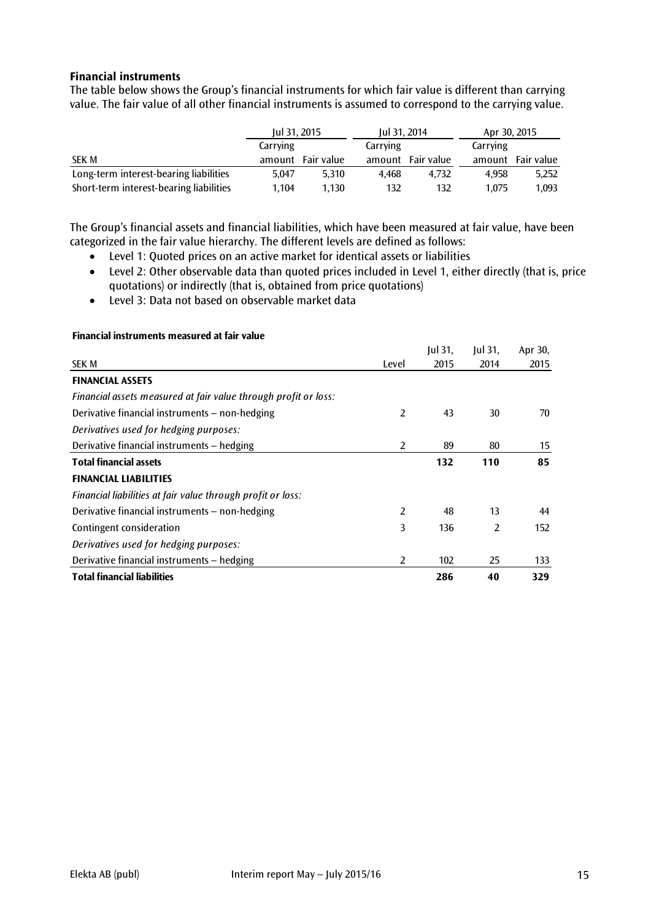# **Financial instruments**

The table below shows the Group's financial instruments for which fair value is different than carrying value. The fair value of all other financial instruments is assumed to correspond to the carrying value.

|                                         | Jul 31, 2015 |            | Jul 31, 2014 |            | Apr 30, 2015 |            |
|-----------------------------------------|--------------|------------|--------------|------------|--------------|------------|
|                                         | Carrying     |            | Carrying     |            | Carrying     |            |
| <b>SEK M</b>                            | amount       | Fair value | amount       | Fair value | amount       | Fair value |
| Long-term interest-bearing liabilities  | 5.047        | 5.310      | 4.468        | 4.732      | 4.958        | 5,252      |
| Short-term interest-bearing liabilities | 1.104        | 1.130      | 132          | 132        | 1.075        | 1.093      |

The Group's financial assets and financial liabilities, which have been measured at fair value, have been categorized in the fair value hierarchy. The different levels are defined as follows:

- Level 1: Quoted prices on an active market for identical assets or liabilities
- Level 2: Other observable data than quoted prices included in Level 1, either directly (that is, price quotations) or indirectly (that is, obtained from price quotations)
- Level 3: Data not based on observable market data

|                                                                 |                | $ ul$ 31, | $ ul$ 31,      | Apr 30, |
|-----------------------------------------------------------------|----------------|-----------|----------------|---------|
| <b>SEK M</b>                                                    | Level          | 2015      | 2014           | 2015    |
| <b>FINANCIAL ASSETS</b>                                         |                |           |                |         |
| Financial assets measured at fair value through profit or loss: |                |           |                |         |
| Derivative financial instruments - non-hedging                  | 2              | 43        | 30             | 70      |
| Derivatives used for hedging purposes:                          |                |           |                |         |
| Derivative financial instruments - hedging                      | 2              | 89        | 80             | 15      |
| <b>Total financial assets</b>                                   |                | 132       | 110            | 85      |
| <b>FINANCIAL LIABILITIES</b>                                    |                |           |                |         |
| Financial liabilities at fair value through profit or loss:     |                |           |                |         |
| Derivative financial instruments – non-hedging                  | 2              | 48        | 13             | 44      |
| Contingent consideration                                        | 3              | 136       | $\overline{2}$ | 152     |
| Derivatives used for hedging purposes:                          |                |           |                |         |
| Derivative financial instruments - hedging                      | $\overline{2}$ | 102       | 25             | 133     |
| <b>Total financial liabilities</b>                              |                | 286       | 40             | 329     |

#### **Financial instruments measured at fair value**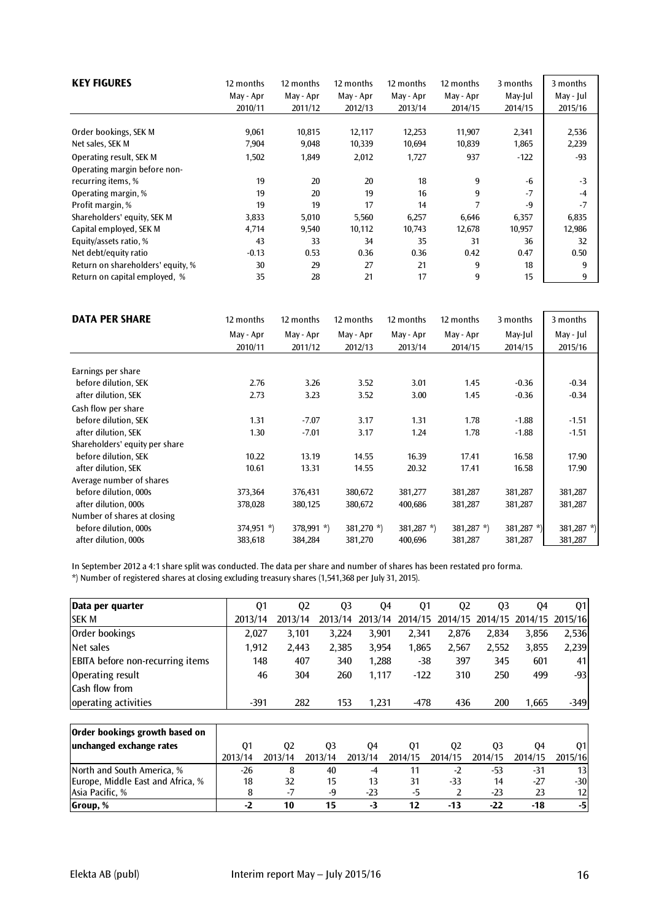| <b>KEY FIGURES</b>                                            | 12 months      | 12 months      | 12 months      | 12 months      | 12 months | 3 months     | 3 months      |
|---------------------------------------------------------------|----------------|----------------|----------------|----------------|-----------|--------------|---------------|
|                                                               | May - Apr      | May - Apr      | May - Apr      | May - Apr      | May - Apr | May-Jul      | May - Jul     |
|                                                               | 2010/11        | 2011/12        | 2012/13        | 2013/14        | 2014/15   | 2014/15      | 2015/16       |
| Order bookings, SEK M                                         | 9,061          | 10,815         | 12,117         | 12,253         | 11,907    | 2,341        | 2,536         |
| Net sales, SEK M                                              | 7,904          | 9,048          | 10,339         | 10,694         | 10,839    | 1,865        | 2,239         |
| Operating result, SEK M<br>Operating margin before non-       | 1,502          | 1,849          | 2,012          | 1,727          | 937<br>9  | $-122$<br>-6 | $-93$<br>$-3$ |
| recurring items, %<br>Operating margin, %<br>Profit margin, % | 19<br>19<br>19 | 20<br>20<br>19 | 20<br>19<br>17 | 18<br>16<br>14 | 9<br>7    | $-7$<br>$-9$ | $-4$<br>$-7$  |
| Shareholders' equity, SEK M                                   | 3,833          | 5,010          | 5,560          | 6,257          | 6,646     | 6,357        | 6,835         |
| Capital employed, SEK M                                       | 4,714          | 9,540          | 10,112         | 10,743         | 12,678    | 10,957       | 12,986        |
| Equity/assets ratio, %                                        | 43             | 33             | 34             | 35             | 31        | 36           | 32            |
| Net debt/equity ratio                                         | $-0.13$        | 0.53           | 0.36           | 0.36           | 0.42      | 0.47         | 0.50          |
| Return on shareholders' equity, %                             | 30             | 29             | 27             | 21             | 9         | 18           | 9             |
| Return on capital employed, %                                 | 35             | 28             | 21             | 17             | 9         | 15           | 9             |

| <b>DATA PER SHARE</b>          | 12 months    | 12 months    | 12 months    | 12 months  | 12 months     | 3 months   | 3 months   |
|--------------------------------|--------------|--------------|--------------|------------|---------------|------------|------------|
|                                | May - Apr    | May - Apr    | May - Apr    | May - Apr  | May - Apr     | May-Jul    | May - Jul  |
|                                | 2010/11      | 2011/12      | 2012/13      | 2013/14    | 2014/15       | 2014/15    | 2015/16    |
| Earnings per share             |              |              |              |            |               |            |            |
| before dilution, SEK           | 2.76         | 3.26         | 3.52         | 3.01       | 1.45          | $-0.36$    | $-0.34$    |
| after dilution, SEK            | 2.73         | 3.23         | 3.52         | 3.00       | 1.45          | $-0.36$    | $-0.34$    |
| Cash flow per share            |              |              |              |            |               |            |            |
| before dilution. SEK           | 1.31         | $-7.07$      | 3.17         | 1.31       | 1.78          | $-1.88$    | $-1.51$    |
| after dilution, SEK            | 1.30         | $-7.01$      | 3.17         | 1.24       | 1.78          | $-1.88$    | $-1.51$    |
| Shareholders' equity per share |              |              |              |            |               |            |            |
| before dilution, SEK           | 10.22        | 13.19        | 14.55        | 16.39      | 17.41         | 16.58      | 17.90      |
| after dilution, SEK            | 10.61        | 13.31        | 14.55        | 20.32      | 17.41         | 16.58      | 17.90      |
| Average number of shares       |              |              |              |            |               |            |            |
| before dilution, 000s          | 373,364      | 376,431      | 380,672      | 381,277    | 381,287       | 381,287    | 381,287    |
| after dilution, 000s           | 378,028      | 380,125      | 380,672      | 400,686    | 381,287       | 381,287    | 381,287    |
| Number of shares at closing    |              |              |              |            |               |            |            |
| before dilution, 000s          | $374,951$ *) | $378,991$ *) | $381,270$ *) | 381,287 *) | 381,287 $*$ ) | 381,287 *) | 381,287 *) |
| after dilution, 000s           | 383,618      | 384,284      | 381,270      | 400,696    | 381,287       | 381,287    | 381,287    |

In September 2012 a 4:1 share split was conducted. The data per share and number of shares has been restated pro forma.

\*) Number of registered shares at closing excluding treasury shares (1,541,368 per July 31, 2015).

| Data per quarter                        |         | Q1             | Q <sub>2</sub> | Q <sub>3</sub> | 04      | Q <sub>1</sub> | Q <sub>2</sub> | Q <sub>3</sub> | Q4      | Q1      |
|-----------------------------------------|---------|----------------|----------------|----------------|---------|----------------|----------------|----------------|---------|---------|
| <b>SEK M</b>                            | 2013/14 | 2013/14        | 2013/14        |                | 2013/14 | 2014/15        | 2014/15        | 2014/15        | 2014/15 | 2015/16 |
| Order bookings                          | 2,027   | 3,101          | 3,224          |                | 3,901   | 2,341          | 2.876          | 2,834          | 3,856   | 2,536   |
| Net sales                               | 1,912   | 2,443          | 2,385          |                | 3,954   | 1,865          | 2,567          | 2,552          | 3,855   | 2,239   |
| <b>EBITA</b> before non-recurring items |         | 148            | 407            | 340            | 1.288   | $-38$          | 397            | 345            | 601     | 41      |
| Operating result                        |         | 46             | 304            | 260            | 1,117   | $-122$         | 310            | 250            | 499     | $-93$   |
| Cash flow from                          |         |                |                |                |         |                |                |                |         |         |
| operating activities                    | $-391$  |                | 282            | 153            | 1,231   | $-478$         | 436            | 200            | 1,665   | $-349$  |
|                                         |         |                |                |                |         |                |                |                |         |         |
| Order bookings growth based on          |         |                |                |                |         |                |                |                |         |         |
| unchanged exchange rates                | Q1      | Q <sub>2</sub> | Q <sub>3</sub> | 04             |         | Q1             | Q <sub>2</sub> | Q <sub>3</sub> | Q4      | Q1      |
|                                         | 2013/14 | 2013/14        | 2013/14        | 2013/14        |         | 2014/15        | 2014/15        | 2014/15        | 2014/15 | 2015/16 |
| North and South America, %              | $-26$   | 8              | 40             |                | $-4$    | 11             | $-2$           | $-53$          | $-31$   | 13      |
| Europe, Middle East and Africa, %       | 18      | 32             | 15             |                | 13      | 31             | $-33$          | 14             | $-27$   | $-30$   |
| Asia Pacific, %                         | 8       | $-7$           | -9             | $-23$          |         | -5             | 2              | $-23$          | 23      | 12      |
| Group, %                                | $-2$    | 10             | 15             |                | -3      | 12             | $-13$          | $-22$          | $-18$   | -5      |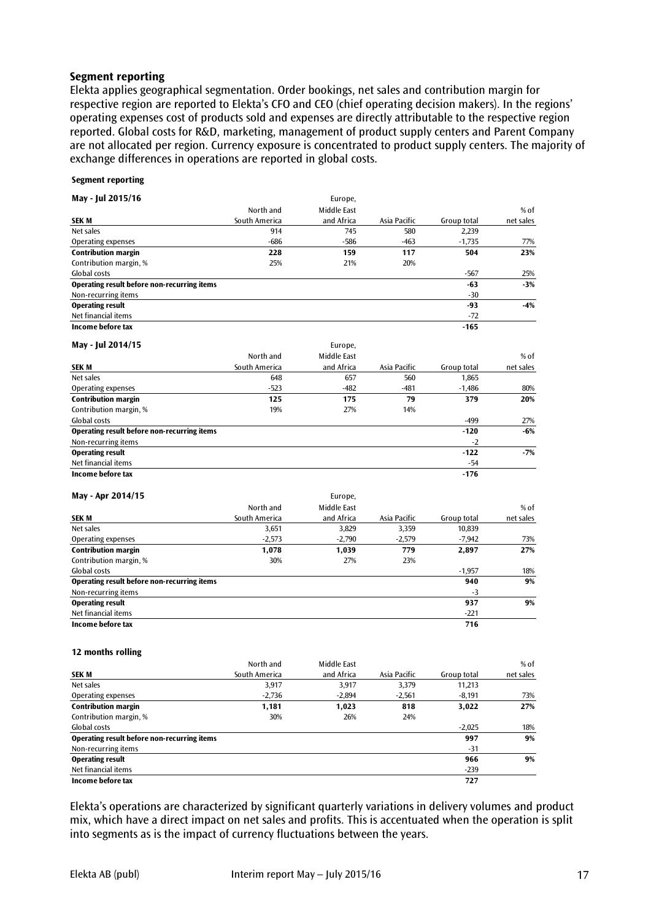#### **Segment reporting**

Elekta applies geographical segmentation. Order bookings, net sales and contribution margin for respective region are reported to Elekta's CFO and CEO (chief operating decision makers). In the regions' operating expenses cost of products sold and expenses are directly attributable to the respective region reported. Global costs for R&D, marketing, management of product supply centers and Parent Company are not allocated per region. Currency exposure is concentrated to product supply centers. The majority of exchange differences in operations are reported in global costs.

#### **Segment reporting**

| May - Jul 2015/16                                  |               | Europe,     |              |             |           |
|----------------------------------------------------|---------------|-------------|--------------|-------------|-----------|
|                                                    | North and     | Middle East |              |             | $%$ of    |
| <b>SEK M</b>                                       | South America | and Africa  | Asia Pacific | Group total | net sales |
| Net sales                                          | 914           | 745         | 580          | 2,239       |           |
| <b>Operating expenses</b>                          | $-686$        | $-586$      | $-463$       | $-1,735$    | 77%       |
| <b>Contribution margin</b>                         | 228           | 159         | 117          | 504         | 23%       |
| Contribution margin, %                             | 25%           | 21%         | 20%          |             |           |
| Global costs                                       |               |             |              | $-567$      | 25%       |
| Operating result before non-recurring items        |               |             |              | $-63$       | $-3%$     |
| Non-recurring items                                |               |             |              | $-30$       |           |
| <b>Operating result</b>                            |               |             |              | -93         | $-4%$     |
| Net financial items                                |               |             |              | $-72$       |           |
| Income before tax                                  |               |             |              | $-165$      |           |
| May - Jul 2014/15                                  |               | Europe,     |              |             |           |
|                                                    | North and     | Middle East |              |             | % of      |
| <b>SEK M</b>                                       | South America | and Africa  | Asia Pacific | Group total | net sales |
| Net sales                                          | 648           | 657         | 560          | 1.865       |           |
| Operating expenses                                 | $-523$        | -482        | $-481$       | $-1,486$    | 80%       |
| <b>Contribution margin</b>                         | 125           | 175         | 79           | 379         | 20%       |
| Contribution margin, %                             | 19%           | 27%         | 14%          |             |           |
| Global costs                                       |               |             |              | -499        | 27%       |
| Operating result before non-recurring items        |               |             |              | $-120$      | $-6%$     |
| Non-recurring items                                |               |             |              | $-2$        |           |
| <b>Operating result</b>                            |               |             |              | $-122$      | $-7%$     |
| Net financial items                                |               |             |              | $-54$       |           |
| Income before tax                                  |               |             |              | $-176$      |           |
| May - Apr 2014/15                                  |               | Europe,     |              |             |           |
|                                                    | North and     | Middle East |              |             | $%$ of    |
| <b>SEK M</b>                                       | South America | and Africa  | Asia Pacific | Group total | net sales |
| Net sales                                          | 3,651         | 3,829       | 3,359        | 10,839      |           |
| Operating expenses                                 | $-2,573$      | $-2,790$    | $-2,579$     | $-7,942$    | 73%       |
| <b>Contribution margin</b>                         | 1,078         | 1,039       | 779          | 2,897       | 27%       |
| Contribution margin, %                             | 30%           | 27%         | 23%          |             |           |
| Global costs                                       |               |             |              | $-1,957$    | 18%       |
| <b>Operating result before non-recurring items</b> |               |             |              | 940         | 9%        |
| Non-recurring items                                |               |             |              | $-3$        |           |
| <b>Operating result</b>                            |               |             |              | 937         | 9%        |
| Net financial items                                |               |             |              | $-221$      |           |
| Income before tax                                  |               |             |              | 716         |           |
|                                                    |               |             |              |             |           |
| 12 months rolling                                  |               |             |              |             |           |
|                                                    | North and     | Middle East |              |             | % of      |
| <b>SEK M</b>                                       | South America | and Africa  | Asia Pacific | Group total | net sales |
| Net sales                                          | 3,917         | 3,917       | 3,379        | 11,213      |           |

|                                             |          |          |          | .        |     |
|---------------------------------------------|----------|----------|----------|----------|-----|
| Net sales                                   | 3,917    | 3,917    | 3.379    | 11,213   |     |
| Operating expenses                          | $-2,736$ | $-2,894$ | $-2,561$ | $-8,191$ | 73% |
| <b>Contribution margin</b>                  | 1,181    | 1,023    | 818      | 3,022    | 27% |
| Contribution margin, %                      | 30%      | 26%      | 24%      |          |     |
| Global costs                                |          |          |          | $-2,025$ | 18% |
| Operating result before non-recurring items |          |          |          | 997      | 9%  |
| Non-recurring items                         |          |          |          | $-31$    |     |
| <b>Operating result</b>                     |          |          |          | 966      | 9%  |
| Net financial items                         |          |          |          | $-239$   |     |
| Income before tax                           |          |          |          | 727      |     |

Elekta's operations are characterized by significant quarterly variations in delivery volumes and product mix, which have a direct impact on net sales and profits. This is accentuated when the operation is split into segments as is the impact of currency fluctuations between the years.